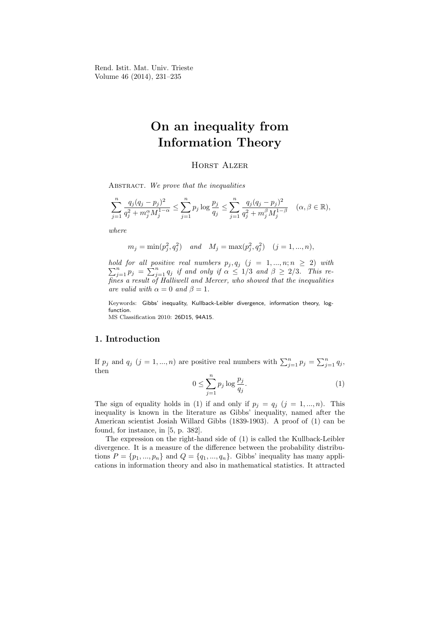Rend. Istit. Mat. Univ. Trieste Volume 46 (2014), 231–235

# On an inequality from Information Theory

## **HORST ALZER**

ABSTRACT. We prove that the inequalities

$$
\sum_{j=1}^{n} \frac{q_j (q_j - p_j)^2}{q_j^2 + m_j^{\alpha} M_j^{1-\alpha}} \le \sum_{j=1}^{n} p_j \log \frac{p_j}{q_j} \le \sum_{j=1}^{n} \frac{q_j (q_j - p_j)^2}{q_j^2 + m_j^{\beta} M_j^{1-\beta}} \quad (\alpha, \beta \in \mathbb{R}),
$$

where

$$
m_j = \min(p_j^2, q_j^2)
$$
 and  $M_j = \max(p_j^2, q_j^2)$   $(j = 1, ..., n),$ 

hold for all positive real numbers  $\sum$ *ld for all positive real numbers*  $p_j, q_j$  ( $j = 1, ..., n; n \ge 2$ ) with  $\sum_{j=1}^n p_j = \sum_{j=1}^n q_j$  if and only if  $\alpha \le 1/3$  and  $\beta \ge 2/3$ . This refines a result of Halliwell and Mercer, who showed that the inequalities are valid with  $\alpha = 0$  and  $\beta = 1$ .

Keywords: Gibbs' inequality, Kullback-Leibler divergence, information theory, logfunction. MS Classification 2010: 26D15, 94A15.

### 1. Introduction

If  $p_j$  and  $q_j$   $(j = 1, ..., n)$  are positive real numbers with  $\sum_{j=1}^n p_j = \sum_{j=1}^n q_j$ , then

$$
0 \le \sum_{j=1}^{n} p_j \log \frac{p_j}{q_j}.\tag{1}
$$

The sign of equality holds in (1) if and only if  $p_j = q_j$   $(j = 1, ..., n)$ . This inequality is known in the literature as Gibbs' inequality, named after the American scientist Josiah Willard Gibbs (1839-1903). A proof of (1) can be found, for instance, in [5, p. 382].

The expression on the right-hand side of (1) is called the Kullback-Leibler divergence. It is a measure of the difference between the probability distributions  $P = \{p_1, ..., p_n\}$  and  $Q = \{q_1, ..., q_n\}$ . Gibbs' inequality has many applications in information theory and also in mathematical statistics. It attracted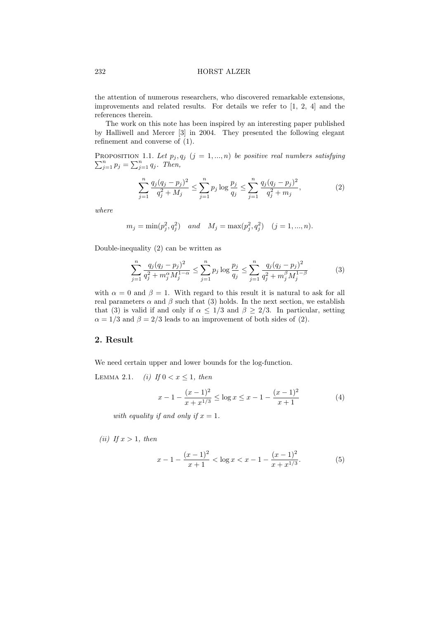#### 232 HORST ALZER

the attention of numerous researchers, who discovered remarkable extensions, improvements and related results. For details we refer to [1, 2, 4] and the references therein.

The work on this note has been inspired by an interesting paper published by Halliwell and Mercer [3] in 2004. They presented the following elegant refinement and converse of (1).

P PROPOSITION 1.1. Let  $p_j, q_j$   $(j = 1, ..., n)$  be positive real numbers satisfying  $\sum_{j=1}^{n} p_j = \sum_{j=1}^{n} q_j$ . Then,

$$
\sum_{j=1}^{n} \frac{q_j(q_j - p_j)^2}{q_j^2 + M_j} \le \sum_{j=1}^{n} p_j \log \frac{p_j}{q_j} \le \sum_{j=1}^{n} \frac{q_j(q_j - p_j)^2}{q_j^2 + m_j},\tag{2}
$$

where

$$
m_j = \min(p_j^2, q_j^2)
$$
 and  $M_j = \max(p_j^2, q_j^2)$   $(j = 1, ..., n).$ 

Double-inequality (2) can be written as

$$
\sum_{j=1}^{n} \frac{q_j (q_j - p_j)^2}{q_j^2 + m_j^{\alpha} M_j^{1-\alpha}} \le \sum_{j=1}^{n} p_j \log \frac{p_j}{q_j} \le \sum_{j=1}^{n} \frac{q_j (q_j - p_j)^2}{q_j^2 + m_j^{\beta} M_j^{1-\beta}}
$$
(3)

with  $\alpha = 0$  and  $\beta = 1$ . With regard to this result it is natural to ask for all real parameters  $\alpha$  and  $\beta$  such that (3) holds. In the next section, we establish that (3) is valid if and only if  $\alpha \leq 1/3$  and  $\beta \geq 2/3$ . In particular, setting  $\alpha = 1/3$  and  $\beta = 2/3$  leads to an improvement of both sides of (2).

### 2. Result

We need certain upper and lower bounds for the log-function.

LEMMA 2.1. (i) If  $0 < x \leq 1$ , then

$$
x - 1 - \frac{(x - 1)^2}{x + x^{1/3}} \le \log x \le x - 1 - \frac{(x - 1)^2}{x + 1}
$$
 (4)

with equality if and only if  $x = 1$ .

(ii) If  $x > 1$ , then

$$
x - 1 - \frac{(x - 1)^2}{x + 1} < \log x < x - 1 - \frac{(x - 1)^2}{x + x^{1/3}}.\tag{5}
$$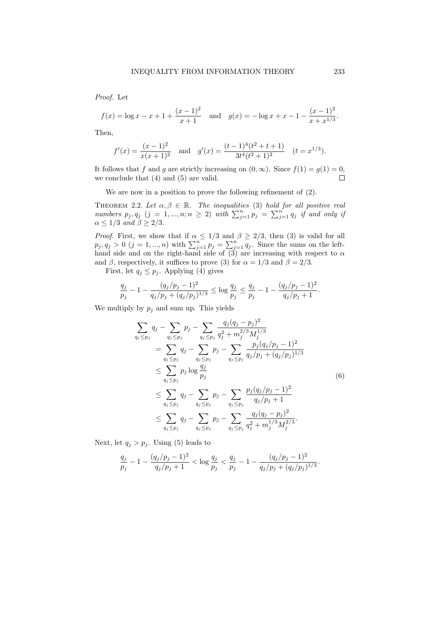Proof. Let

$$
f(x) = \log x - x + 1 + \frac{(x-1)^2}{x+1}
$$
 and  $g(x) = -\log x + x - 1 - \frac{(x-1)^2}{x+x^{1/3}}$ .

Then,

$$
f'(x) = \frac{(x-1)^2}{x(x+1)^2}
$$
 and  $g'(x) = \frac{(t-1)^4(t^2+t+1)}{3t^4(t^2+1)^2}$   $(t = x^{1/3}).$ 

It follows that f and g are strictly increasing on  $(0, \infty)$ . Since  $f(1) = g(1) = 0$ , we conclude that (4) and (5) are valid.  $\Box$ 

We are now in a position to prove the following refinement of (2).

THEOREM 2.2. Let  $\alpha, \beta \in \mathbb{R}$ . The inequalities (3) hold for all positive real numbers  $p_j, q_j$   $(j = 1, ..., n; n \ge 2)$  with  $\sum_{j=1}^n p_j = \sum_{j=1}^n q_j$  if and only if  $\alpha \leq 1/3$  and  $\beta \geq 2/3$ .

*Proof.* First, we show that if  $\alpha \leq 1/3$  and  $\beta \geq 2/3$ , then (3) is valid for all  $p_j, q_j > 0$   $(j = 1, ..., n)$  with  $\sum_{j=1}^n p_j = \sum_{j=1}^n q_j$ . Since the sums on the lefthand side and on the right-hand side of (3) are increasing with respect to  $\alpha$ and  $\beta$ , respectively, it suffices to prove (3) for  $\alpha = 1/3$  and  $\beta = 2/3$ .

First, let  $q_i \leq p_i$ . Applying (4) gives

$$
\frac{q_j}{p_j} - 1 - \frac{(q_j/p_j - 1)^2}{q_j/p_j + (q_j/p_j)^{1/3}} \le \log \frac{q_j}{p_j} \le \frac{q_j}{p_j} - 1 - \frac{(q_j/p_j - 1)^2}{q_j/p_j + 1}.
$$

We multiply by  $p_j$  and sum up. This yields

$$
\sum_{q_j \leq p_j} q_j - \sum_{q_j \leq p_j} p_j - \sum_{q_j \leq p_j} \frac{q_j (q_j - p_j)^2}{q_j^2 + m_j^{2/3} M_j^{1/3}} \n= \sum_{q_j \leq p_j} q_j - \sum_{q_j \leq p_j} p_j - \sum_{q_j \leq p_j} \frac{p_j (q_j/p_j - 1)^2}{q_j/p_j + (q_j/p_j)^{1/3}} \n\leq \sum_{q_j \leq p_j} p_j \log \frac{q_j}{p_j} \n\leq \sum_{q_j \leq p_j} q_j - \sum_{q_j \leq p_j} p_j - \sum_{q_j \leq p_j} \frac{p_j (q_j/p_j - 1)^2}{q_j/p_j + 1} \n\leq \sum_{q_j \leq p_j} q_j - \sum_{q_j \leq p_j} p_j - \sum_{q_j \leq p_j} \frac{q_j (q_j - p_j)^2}{q_j^2 + m_j^{1/3} M_j^{2/3}}.
$$
\n(6)

Next, let  $q_j > p_j$ . Using (5) leads to

$$
\frac{q_j}{p_j} - 1 - \frac{(q_j/p_j - 1)^2}{q_j/p_j + 1} < \log \frac{q_j}{p_j} < \frac{q_j}{p_j} - 1 - \frac{(q_j/p_j - 1)^2}{q_j/p_j + (q_j/p_j)^{1/3}}
$$

.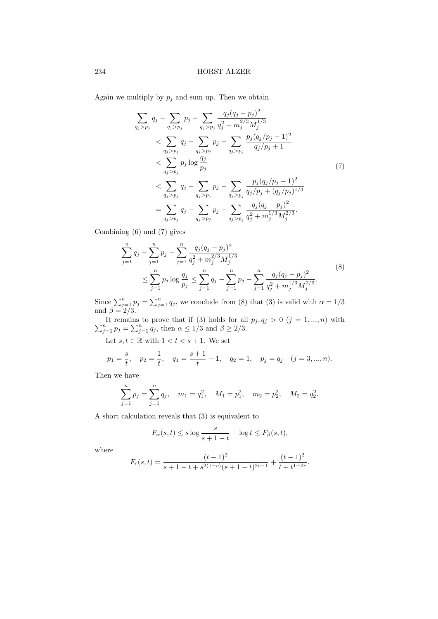Again we multiply by  $p_j$  and sum up. Then we obtain

$$
\sum_{q_j > p_j} q_j - \sum_{q_j > p_j} p_j - \sum_{q_j > p_j} \frac{q_j (q_j - p_j)^2}{q_j^2 + m_j^{2/3} M_j^{1/3}} \\
< \sum_{q_j > p_j} q_j - \sum_{q_j > p_j} p_j - \sum_{q_j > p_j} \frac{p_j (q_j / p_j - 1)^2}{q_j / p_j + 1} \\
< \sum_{q_j > p_j} p_j \log \frac{q_j}{p_j} \\
< \sum_{q_j > p_j} q_j - \sum_{q_j > p_j} p_j - \sum_{q_j > p_j} \frac{p_j (q_j / p_j - 1)^2}{q_j / p_j + (q_j / p_j)^{1/3}} \\
< \sum_{q_j > p_j} q_j - \sum_{q_j > p_j} p_j - \sum_{q_j > p_j} \frac{q_j (q_j - p_j)^2}{q_j^2 + m_j^{1/3} M_j^{2/3}}.
$$
\n
$$
(7)
$$

Combining (6) and (7) gives

$$
\sum_{j=1}^{n} q_j - \sum_{j=1}^{n} p_j - \sum_{j=1}^{n} \frac{q_j (q_j - p_j)^2}{q_j^2 + m_j^{2/3} M_j^{1/3}} \le \sum_{j=1}^{n} p_j \log \frac{q_j}{p_j} \le \sum_{j=1}^{n} q_j - \sum_{j=1}^{n} p_j - \sum_{j=1}^{n} \frac{q_j (q_j - p_j)^2}{q_j^2 + m_j^{1/3} M_j^{2/3}}.
$$
\n(8)

Since  $\sum_{j=1}^{n} p_j = \sum_{j=1}^{n} q_j$ , we conclude from (8) that (3) is valid with  $\alpha = 1/3$ and  $\beta = 2/3$ .

P It remains to prove that if (3) holds for all  $p_j, q_j > 0$   $(j = 1, ..., n)$  with  $\sum_{j=1}^n p_j = \sum_{j=1}^n q_j$ , then  $\alpha \le 1/3$  and  $\beta \ge 2/3$ .

Let  $s, t \in \mathbb{R}$  with  $1 < t < s + 1$ . We set

$$
p_1 = \frac{s}{t}
$$
,  $p_2 = \frac{1}{t}$ ,  $q_1 = \frac{s+1}{t} - 1$ ,  $q_2 = 1$ ,  $p_j = q_j$   $(j = 3, ..., n)$ .

Then we have

$$
\sum_{j=1}^{n} p_j = \sum_{j=1}^{n} q_j, \quad m_1 = q_1^2, \quad M_1 = p_1^2, \quad m_2 = p_2^2, \quad M_2 = q_2^2.
$$

A short calculation reveals that (3) is equivalent to

$$
F_{\alpha}(s,t) \le s \log \frac{s}{s+1-t} - \log t \le F_{\beta}(s,t),
$$

where

$$
F_c(s,t) = \frac{(t-1)^2}{s+1-t+s^{2(1-c)}(s+1-t)^{2c-1}} + \frac{(t-1)^2}{t+t^{1-2c}}.
$$